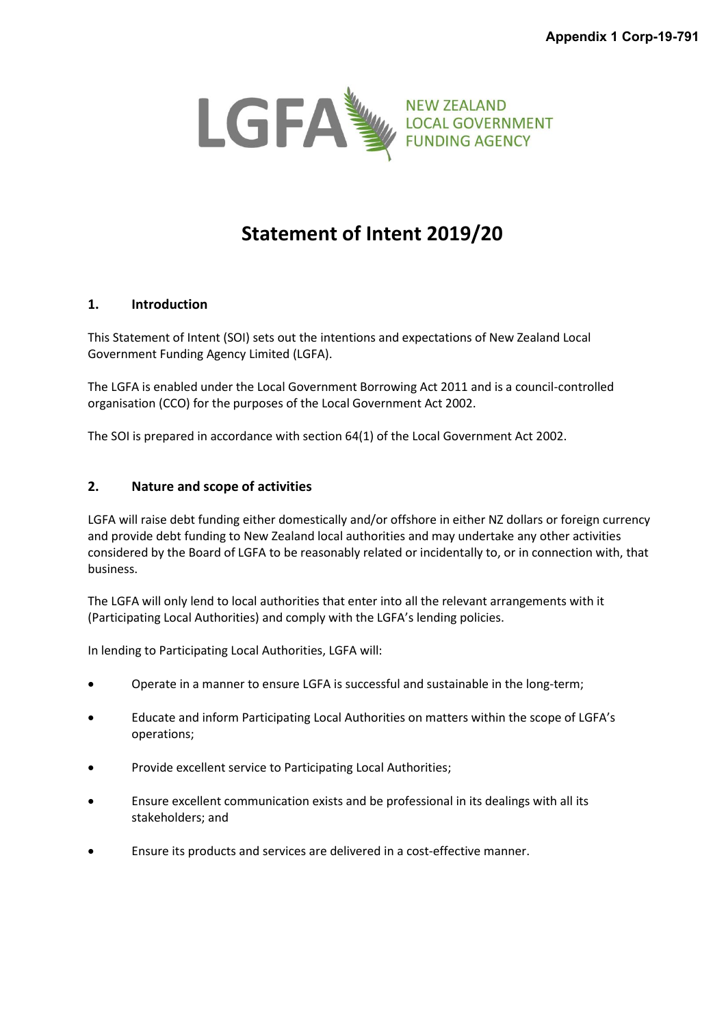

# **Statement of Intent 2019/20**

# **1. Introduction**

This Statement of Intent (SOI) sets out the intentions and expectations of New Zealand Local Government Funding Agency Limited (LGFA).

The LGFA is enabled under the Local Government Borrowing Act 2011 and is a council-controlled organisation (CCO) for the purposes of the Local Government Act 2002.

The SOI is prepared in accordance with section 64(1) of the Local Government Act 2002.

# **2. Nature and scope of activities**

LGFA will raise debt funding either domestically and/or offshore in either NZ dollars or foreign currency and provide debt funding to New Zealand local authorities and may undertake any other activities considered by the Board of LGFA to be reasonably related or incidentally to, or in connection with, that business.

The LGFA will only lend to local authorities that enter into all the relevant arrangements with it (Participating Local Authorities) and comply with the LGFA's lending policies.

In lending to Participating Local Authorities, LGFA will:

- Operate in a manner to ensure LGFA is successful and sustainable in the long-term;
- Educate and inform Participating Local Authorities on matters within the scope of LGFA's operations;
- Provide excellent service to Participating Local Authorities;
- Ensure excellent communication exists and be professional in its dealings with all its stakeholders; and
- Ensure its products and services are delivered in a cost-effective manner.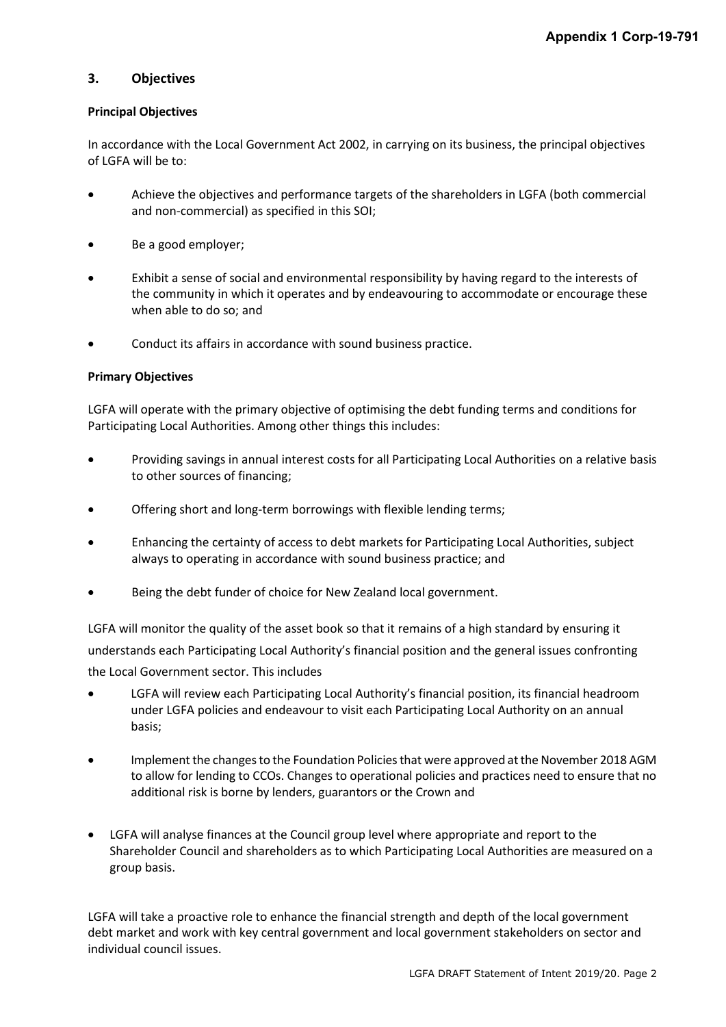# **3. Objectives**

## **Principal Objectives**

In accordance with the Local Government Act 2002, in carrying on its business, the principal objectives of LGFA will be to:

- Achieve the objectives and performance targets of the shareholders in LGFA (both commercial and non-commercial) as specified in this SOI;
- Be a good employer;
- Exhibit a sense of social and environmental responsibility by having regard to the interests of the community in which it operates and by endeavouring to accommodate or encourage these when able to do so; and
- Conduct its affairs in accordance with sound business practice.

## **Primary Objectives**

LGFA will operate with the primary objective of optimising the debt funding terms and conditions for Participating Local Authorities. Among other things this includes:

- Providing savings in annual interest costs for all Participating Local Authorities on a relative basis to other sources of financing;
- Offering short and long-term borrowings with flexible lending terms;
- Enhancing the certainty of access to debt markets for Participating Local Authorities, subject always to operating in accordance with sound business practice; and
- Being the debt funder of choice for New Zealand local government.

LGFA will monitor the quality of the asset book so that it remains of a high standard by ensuring it understands each Participating Local Authority's financial position and the general issues confronting the Local Government sector. This includes

- LGFA will review each Participating Local Authority's financial position, its financial headroom under LGFA policies and endeavour to visit each Participating Local Authority on an annual basis;
- Implement the changes to the Foundation Policies that were approved at the November 2018 AGM to allow for lending to CCOs. Changes to operational policies and practices need to ensure that no additional risk is borne by lenders, guarantors or the Crown and
- LGFA will analyse finances at the Council group level where appropriate and report to the Shareholder Council and shareholders as to which Participating Local Authorities are measured on a group basis.

LGFA will take a proactive role to enhance the financial strength and depth of the local government debt market and work with key central government and local government stakeholders on sector and individual council issues.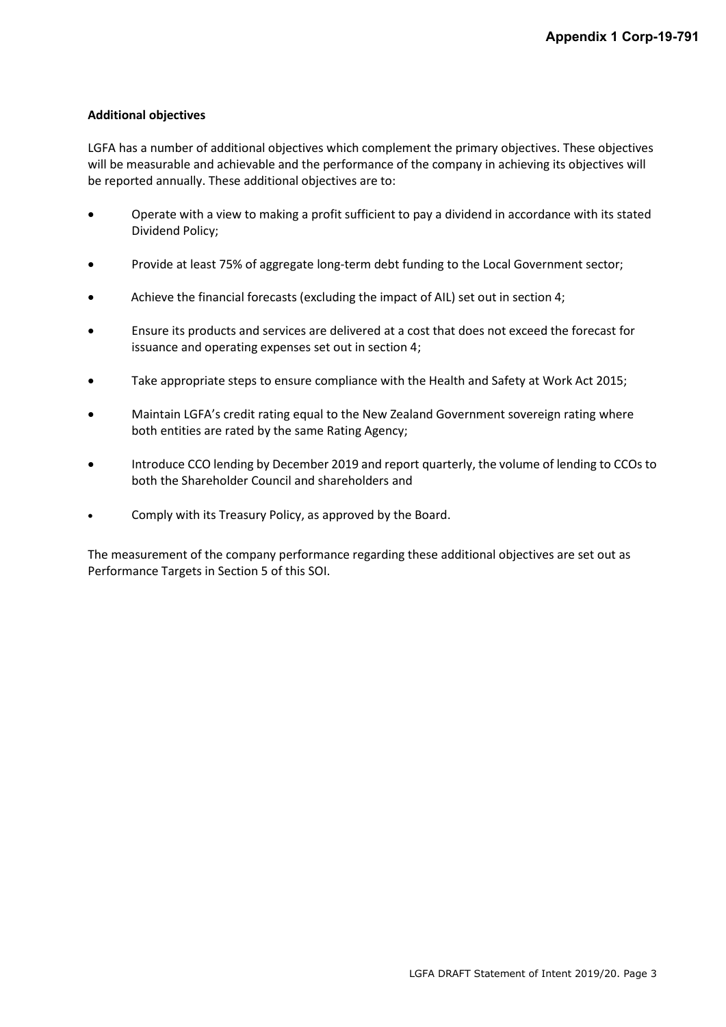## **Additional objectives**

LGFA has a number of additional objectives which complement the primary objectives. These objectives will be measurable and achievable and the performance of the company in achieving its objectives will be reported annually. These additional objectives are to:

- Operate with a view to making a profit sufficient to pay a dividend in accordance with its stated Dividend Policy;
- Provide at least 75% of aggregate long-term debt funding to the Local Government sector;
- Achieve the financial forecasts (excluding the impact of AIL) set out in section 4;
- Ensure its products and services are delivered at a cost that does not exceed the forecast for issuance and operating expenses set out in section 4;
- Take appropriate steps to ensure compliance with the Health and Safety at Work Act 2015;
- Maintain LGFA's credit rating equal to the New Zealand Government sovereign rating where both entities are rated by the same Rating Agency;
- Introduce CCO lending by December 2019 and report quarterly, the volume of lending to CCOs to both the Shareholder Council and shareholders and
- Comply with its Treasury Policy, as approved by the Board.

The measurement of the company performance regarding these additional objectives are set out as Performance Targets in Section 5 of this SOI.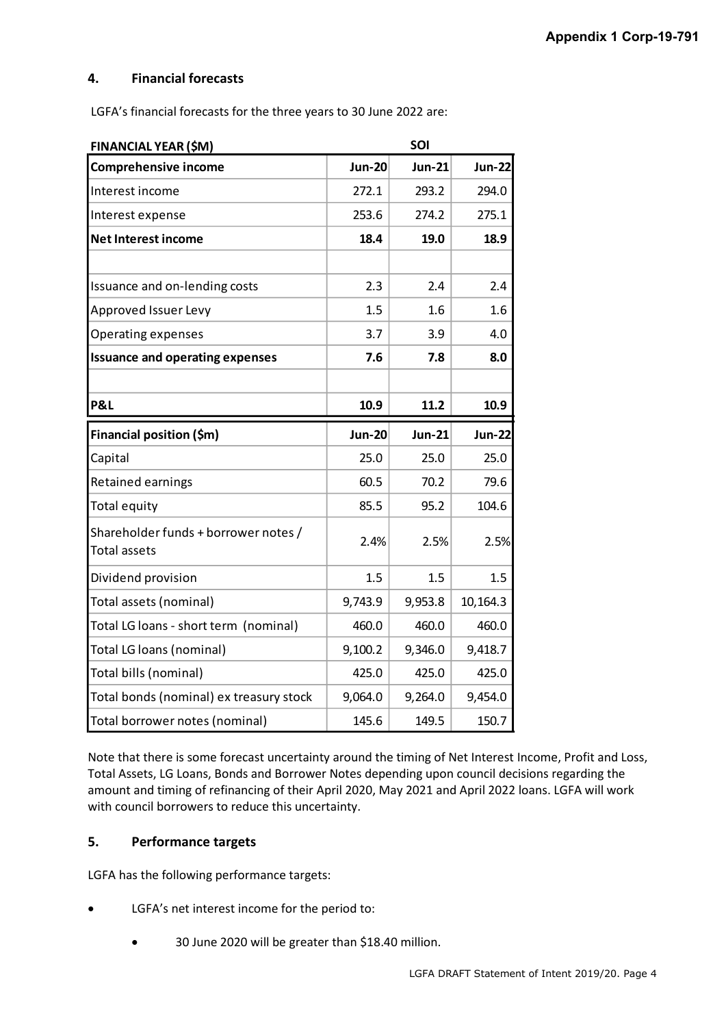# **4. Financial forecasts**

LGFA's financial forecasts for the three years to 30 June 2022 are:

| <b>FINANCIAL YEAR (\$M)</b>                                 | SOI           |               |               |
|-------------------------------------------------------------|---------------|---------------|---------------|
| <b>Comprehensive income</b>                                 | <b>Jun-20</b> | <b>Jun-21</b> | <b>Jun-22</b> |
| Interest income                                             | 272.1         | 293.2         | 294.0         |
| Interest expense                                            | 253.6         | 274.2         | 275.1         |
| <b>Net Interest income</b>                                  | 18.4          | 19.0          | 18.9          |
|                                                             |               |               |               |
| Issuance and on-lending costs                               | 2.3           | 2.4           | 2.4           |
| Approved Issuer Levy                                        | 1.5           | 1.6           | 1.6           |
| Operating expenses                                          | 3.7           | 3.9           | 4.0           |
| <b>Issuance and operating expenses</b>                      | 7.6           | 7.8           | 8.0           |
|                                                             |               |               |               |
| <b>P&amp;L</b>                                              | 10.9          | 11.2          | 10.9          |
|                                                             |               |               |               |
| Financial position (\$m)                                    | <b>Jun-20</b> | <b>Jun-21</b> | <b>Jun-22</b> |
| Capital                                                     | 25.0          | 25.0          | 25.0          |
| <b>Retained earnings</b>                                    | 60.5          | 70.2          | 79.6          |
| Total equity                                                | 85.5          | 95.2          | 104.6         |
| Shareholder funds + borrower notes /<br><b>Total assets</b> | 2.4%          | 2.5%          | 2.5%          |
| Dividend provision                                          | 1.5           | 1.5           | 1.5           |
| Total assets (nominal)                                      | 9,743.9       | 9,953.8       | 10,164.3      |
| Total LG loans - short term (nominal)                       | 460.0         | 460.0         | 460.0         |
| Total LG loans (nominal)                                    | 9,100.2       | 9,346.0       | 9,418.7       |
| Total bills (nominal)                                       | 425.0         | 425.0         | 425.0         |
| Total bonds (nominal) ex treasury stock                     | 9,064.0       | 9,264.0       | 9,454.0       |

Note that there is some forecast uncertainty around the timing of Net Interest Income, Profit and Loss, Total Assets, LG Loans, Bonds and Borrower Notes depending upon council decisions regarding the amount and timing of refinancing of their April 2020, May 2021 and April 2022 loans. LGFA will work with council borrowers to reduce this uncertainty.

## **5. Performance targets**

LGFA has the following performance targets:

- LGFA's net interest income for the period to:
	- 30 June 2020 will be greater than \$18.40 million.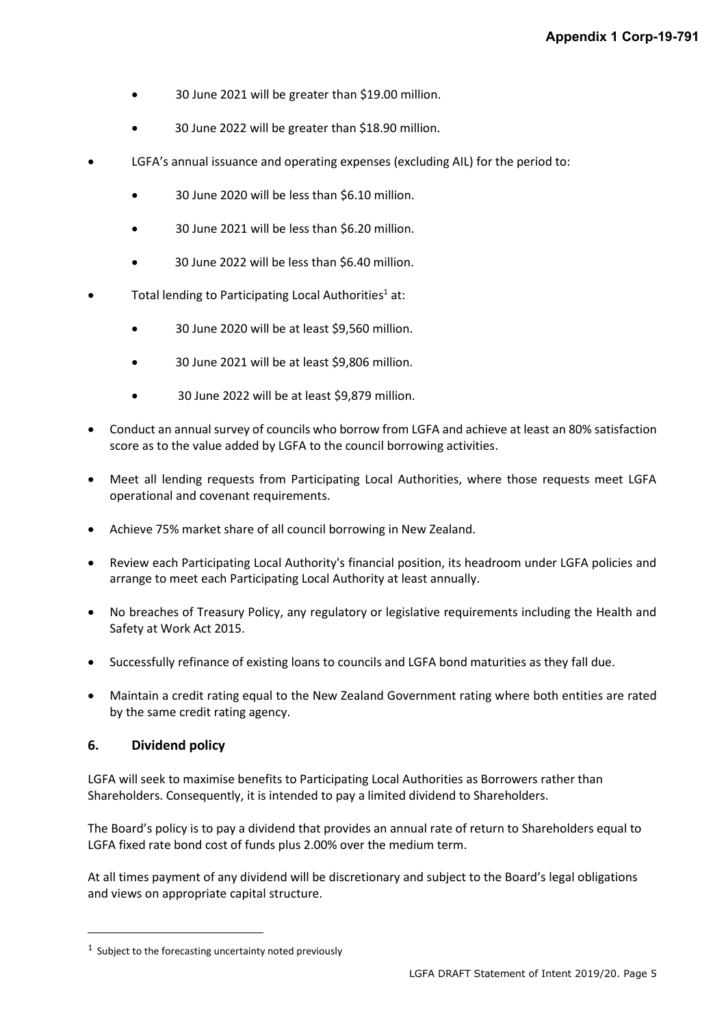- 30 June 2021 will be greater than \$19.00 million.
- 30 June 2022 will be greater than \$18.90 million.
- LGFA's annual issuance and operating expenses (excluding AIL) for the period to:
	- 30 June 2020 will be less than \$6.10 million.
	- 30 June 2021 will be less than \$6.20 million.
	- 30 June 2022 will be less than \$6.40 million.
- Total lending to Participating Local Authorities<sup>1</sup> at:
	- 30 June 2020 will be at least \$9,560 million.
	- 30 June 2021 will be at least \$9,806 million.
	- 30 June 2022 will be at least \$9,879 million.
- Conduct an annual survey of councils who borrow from LGFA and achieve at least an 80% satisfaction score as to the value added by LGFA to the council borrowing activities.
- Meet all lending requests from Participating Local Authorities, where those requests meet LGFA operational and covenant requirements.
- Achieve 75% market share of all council borrowing in New Zealand.
- Review each Participating Local Authority's financial position, its headroom under LGFA policies and arrange to meet each Participating Local Authority at least annually.
- No breaches of Treasury Policy, any regulatory or legislative requirements including the Health and Safety at Work Act 2015.
- Successfully refinance of existing loans to councils and LGFA bond maturities as they fall due.
- Maintain a credit rating equal to the New Zealand Government rating where both entities are rated by the same credit rating agency.

## **6. Dividend policy**

-

LGFA will seek to maximise benefits to Participating Local Authorities as Borrowers rather than Shareholders. Consequently, it is intended to pay a limited dividend to Shareholders.

The Board's policy is to pay a dividend that provides an annual rate of return to Shareholders equal to LGFA fixed rate bond cost of funds plus 2.00% over the medium term.

At all times payment of any dividend will be discretionary and subject to the Board's legal obligations and views on appropriate capital structure.

 $1$  Subject to the forecasting uncertainty noted previously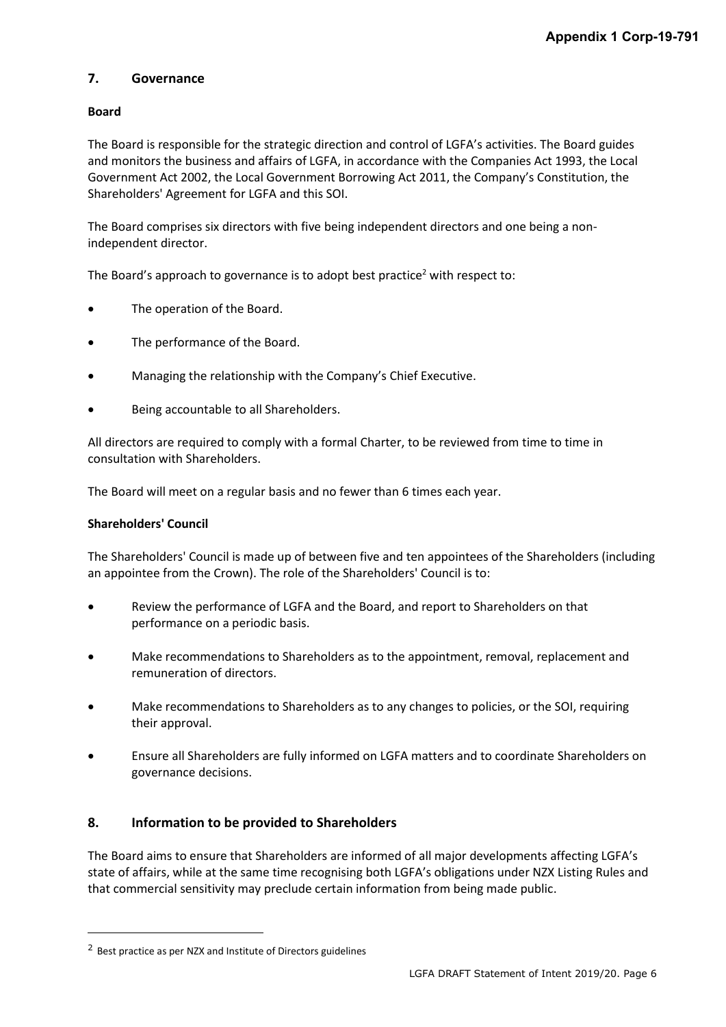## **7. Governance**

## **Board**

The Board is responsible for the strategic direction and control of LGFA's activities. The Board guides and monitors the business and affairs of LGFA, in accordance with the Companies Act 1993, the Local Government Act 2002, the Local Government Borrowing Act 2011, the Company's Constitution, the Shareholders' Agreement for LGFA and this SOI.

The Board comprises six directors with five being independent directors and one being a nonindependent director.

The Board's approach to governance is to adopt best practice<sup>2</sup> with respect to:

- The operation of the Board.
- The performance of the Board.
- Managing the relationship with the Company's Chief Executive.
- Being accountable to all Shareholders.

All directors are required to comply with a formal Charter, to be reviewed from time to time in consultation with Shareholders.

The Board will meet on a regular basis and no fewer than 6 times each year.

## **Shareholders' Council**

-

The Shareholders' Council is made up of between five and ten appointees of the Shareholders (including an appointee from the Crown). The role of the Shareholders' Council is to:

- Review the performance of LGFA and the Board, and report to Shareholders on that performance on a periodic basis.
- Make recommendations to Shareholders as to the appointment, removal, replacement and remuneration of directors.
- Make recommendations to Shareholders as to any changes to policies, or the SOI, requiring their approval.
- Ensure all Shareholders are fully informed on LGFA matters and to coordinate Shareholders on governance decisions.

# **8. Information to be provided to Shareholders**

The Board aims to ensure that Shareholders are informed of all major developments affecting LGFA's state of affairs, while at the same time recognising both LGFA's obligations under NZX Listing Rules and that commercial sensitivity may preclude certain information from being made public.

<sup>&</sup>lt;sup>2</sup> Best practice as per NZX and Institute of Directors guidelines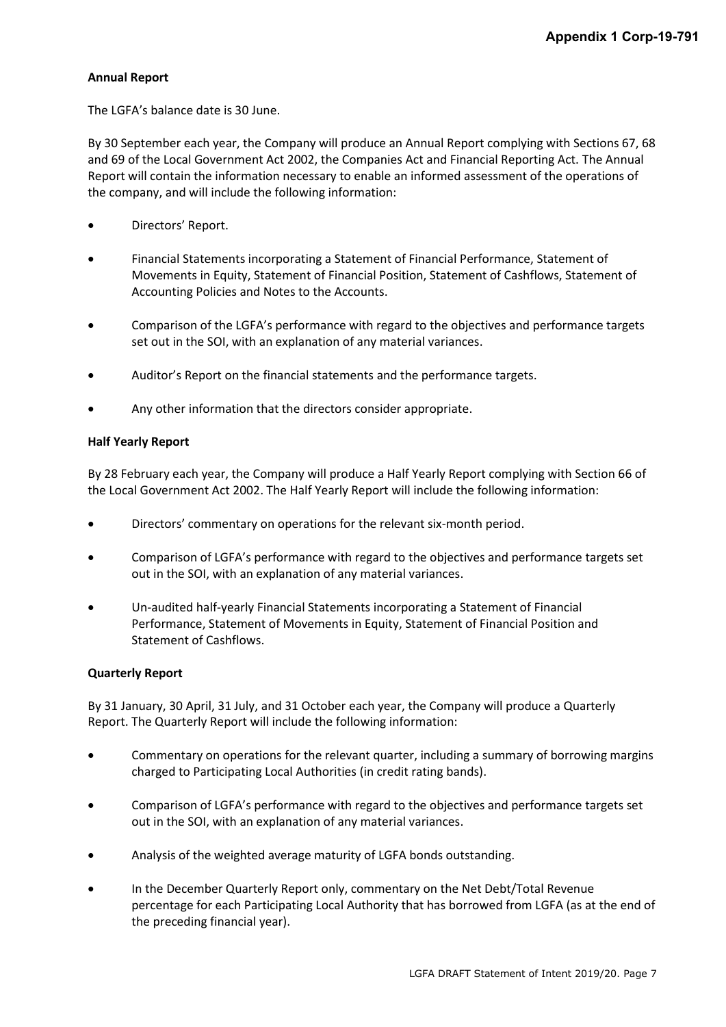## **Annual Report**

The LGFA's balance date is 30 June.

By 30 September each year, the Company will produce an Annual Report complying with Sections 67, 68 and 69 of the Local Government Act 2002, the Companies Act and Financial Reporting Act. The Annual Report will contain the information necessary to enable an informed assessment of the operations of the company, and will include the following information:

- Directors' Report.
- Financial Statements incorporating a Statement of Financial Performance, Statement of Movements in Equity, Statement of Financial Position, Statement of Cashflows, Statement of Accounting Policies and Notes to the Accounts.
- Comparison of the LGFA's performance with regard to the objectives and performance targets set out in the SOI, with an explanation of any material variances.
- Auditor's Report on the financial statements and the performance targets.
- Any other information that the directors consider appropriate.

## **Half Yearly Report**

By 28 February each year, the Company will produce a Half Yearly Report complying with Section 66 of the Local Government Act 2002. The Half Yearly Report will include the following information:

- Directors' commentary on operations for the relevant six-month period.
- Comparison of LGFA's performance with regard to the objectives and performance targets set out in the SOI, with an explanation of any material variances.
- Un-audited half-yearly Financial Statements incorporating a Statement of Financial Performance, Statement of Movements in Equity, Statement of Financial Position and Statement of Cashflows.

## **Quarterly Report**

By 31 January, 30 April, 31 July, and 31 October each year, the Company will produce a Quarterly Report. The Quarterly Report will include the following information:

- Commentary on operations for the relevant quarter, including a summary of borrowing margins charged to Participating Local Authorities (in credit rating bands).
- Comparison of LGFA's performance with regard to the objectives and performance targets set out in the SOI, with an explanation of any material variances.
- Analysis of the weighted average maturity of LGFA bonds outstanding.
- In the December Quarterly Report only, commentary on the Net Debt/Total Revenue percentage for each Participating Local Authority that has borrowed from LGFA (as at the end of the preceding financial year).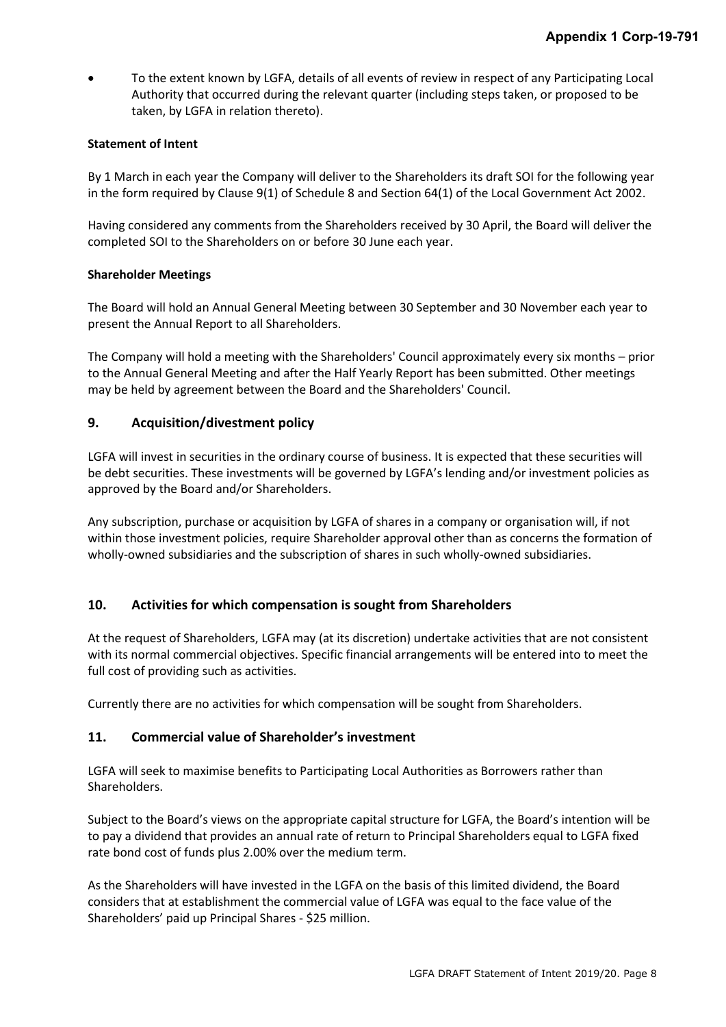• To the extent known by LGFA, details of all events of review in respect of any Participating Local Authority that occurred during the relevant quarter (including steps taken, or proposed to be taken, by LGFA in relation thereto).

# **Statement of Intent**

By 1 March in each year the Company will deliver to the Shareholders its draft SOI for the following year in the form required by Clause 9(1) of Schedule 8 and Section 64(1) of the Local Government Act 2002.

Having considered any comments from the Shareholders received by 30 April, the Board will deliver the completed SOI to the Shareholders on or before 30 June each year.

# **Shareholder Meetings**

The Board will hold an Annual General Meeting between 30 September and 30 November each year to present the Annual Report to all Shareholders.

The Company will hold a meeting with the Shareholders' Council approximately every six months – prior to the Annual General Meeting and after the Half Yearly Report has been submitted. Other meetings may be held by agreement between the Board and the Shareholders' Council.

# **9. Acquisition/divestment policy**

LGFA will invest in securities in the ordinary course of business. It is expected that these securities will be debt securities. These investments will be governed by LGFA's lending and/or investment policies as approved by the Board and/or Shareholders.

Any subscription, purchase or acquisition by LGFA of shares in a company or organisation will, if not within those investment policies, require Shareholder approval other than as concerns the formation of wholly-owned subsidiaries and the subscription of shares in such wholly-owned subsidiaries.

# **10. Activities for which compensation is sought from Shareholders**

At the request of Shareholders, LGFA may (at its discretion) undertake activities that are not consistent with its normal commercial objectives. Specific financial arrangements will be entered into to meet the full cost of providing such as activities.

Currently there are no activities for which compensation will be sought from Shareholders.

# **11. Commercial value of Shareholder's investment**

LGFA will seek to maximise benefits to Participating Local Authorities as Borrowers rather than Shareholders.

Subject to the Board's views on the appropriate capital structure for LGFA, the Board's intention will be to pay a dividend that provides an annual rate of return to Principal Shareholders equal to LGFA fixed rate bond cost of funds plus 2.00% over the medium term.

As the Shareholders will have invested in the LGFA on the basis of this limited dividend, the Board considers that at establishment the commercial value of LGFA was equal to the face value of the Shareholders' paid up Principal Shares - \$25 million.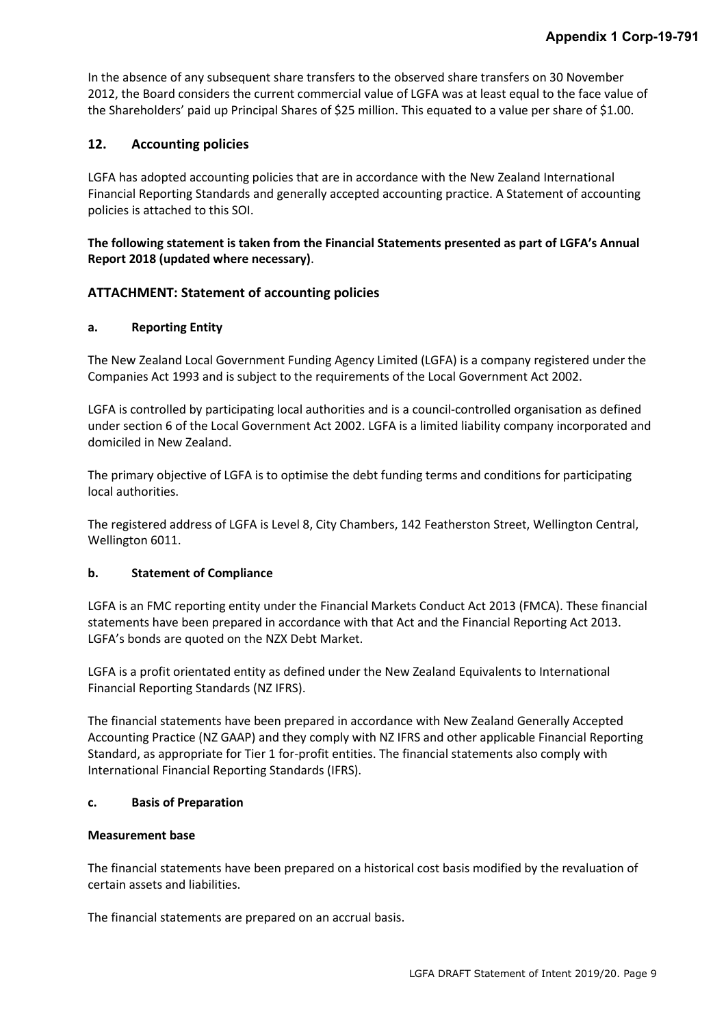In the absence of any subsequent share transfers to the observed share transfers on 30 November 2012, the Board considers the current commercial value of LGFA was at least equal to the face value of the Shareholders' paid up Principal Shares of \$25 million. This equated to a value per share of \$1.00.

# **12. Accounting policies**

LGFA has adopted accounting policies that are in accordance with the New Zealand International Financial Reporting Standards and generally accepted accounting practice. A Statement of accounting policies is attached to this SOI.

**The following statement is taken from the Financial Statements presented as part of LGFA's Annual Report 2018 (updated where necessary)**.

# **ATTACHMENT: Statement of accounting policies**

## **a. Reporting Entity**

The New Zealand Local Government Funding Agency Limited (LGFA) is a company registered under the Companies Act 1993 and is subject to the requirements of the Local Government Act 2002.

LGFA is controlled by participating local authorities and is a council-controlled organisation as defined under section 6 of the Local Government Act 2002. LGFA is a limited liability company incorporated and domiciled in New Zealand.

The primary objective of LGFA is to optimise the debt funding terms and conditions for participating local authorities.

The registered address of LGFA is Level 8, City Chambers, 142 Featherston Street, Wellington Central, Wellington 6011.

## **b. Statement of Compliance**

LGFA is an FMC reporting entity under the Financial Markets Conduct Act 2013 (FMCA). These financial statements have been prepared in accordance with that Act and the Financial Reporting Act 2013. LGFA's bonds are quoted on the NZX Debt Market.

LGFA is a profit orientated entity as defined under the New Zealand Equivalents to International Financial Reporting Standards (NZ IFRS).

The financial statements have been prepared in accordance with New Zealand Generally Accepted Accounting Practice (NZ GAAP) and they comply with NZ IFRS and other applicable Financial Reporting Standard, as appropriate for Tier 1 for-profit entities. The financial statements also comply with International Financial Reporting Standards (IFRS).

#### **c. Basis of Preparation**

#### **Measurement base**

The financial statements have been prepared on a historical cost basis modified by the revaluation of certain assets and liabilities.

The financial statements are prepared on an accrual basis.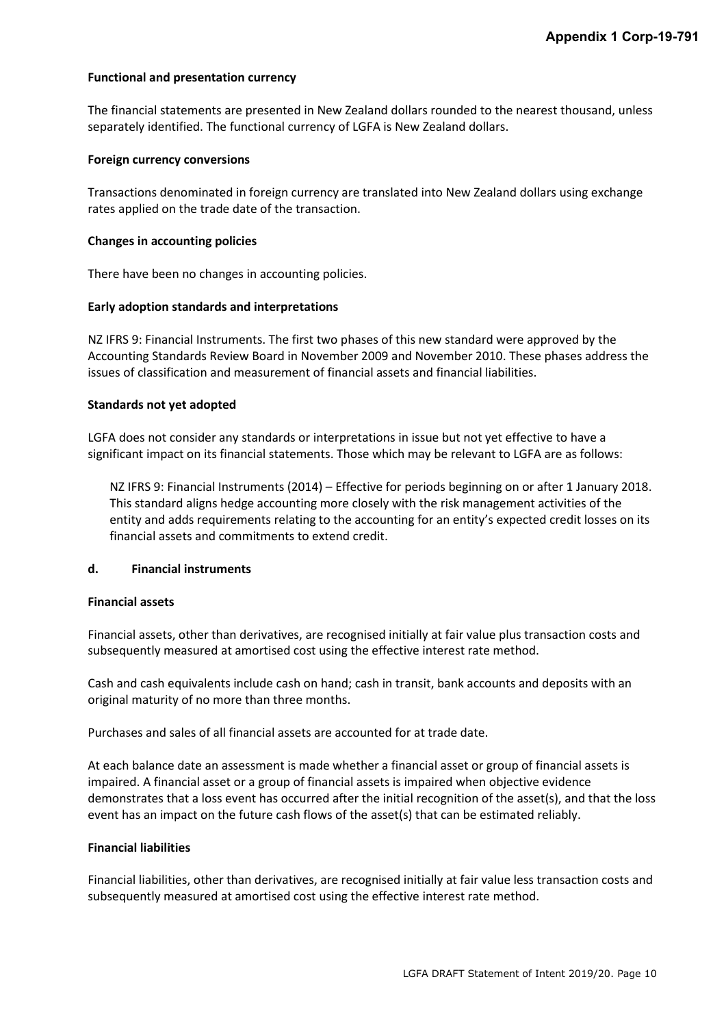## **Functional and presentation currency**

The financial statements are presented in New Zealand dollars rounded to the nearest thousand, unless separately identified. The functional currency of LGFA is New Zealand dollars.

#### **Foreign currency conversions**

Transactions denominated in foreign currency are translated into New Zealand dollars using exchange rates applied on the trade date of the transaction.

#### **Changes in accounting policies**

There have been no changes in accounting policies.

#### **Early adoption standards and interpretations**

NZ IFRS 9: Financial Instruments. The first two phases of this new standard were approved by the Accounting Standards Review Board in November 2009 and November 2010. These phases address the issues of classification and measurement of financial assets and financial liabilities.

#### **Standards not yet adopted**

LGFA does not consider any standards or interpretations in issue but not yet effective to have a significant impact on its financial statements. Those which may be relevant to LGFA are as follows:

NZ IFRS 9: Financial Instruments (2014) – Effective for periods beginning on or after 1 January 2018. This standard aligns hedge accounting more closely with the risk management activities of the entity and adds requirements relating to the accounting for an entity's expected credit losses on its financial assets and commitments to extend credit.

#### **d. Financial instruments**

#### **Financial assets**

Financial assets, other than derivatives, are recognised initially at fair value plus transaction costs and subsequently measured at amortised cost using the effective interest rate method.

Cash and cash equivalents include cash on hand; cash in transit, bank accounts and deposits with an original maturity of no more than three months.

Purchases and sales of all financial assets are accounted for at trade date.

At each balance date an assessment is made whether a financial asset or group of financial assets is impaired. A financial asset or a group of financial assets is impaired when objective evidence demonstrates that a loss event has occurred after the initial recognition of the asset(s), and that the loss event has an impact on the future cash flows of the asset(s) that can be estimated reliably.

## **Financial liabilities**

Financial liabilities, other than derivatives, are recognised initially at fair value less transaction costs and subsequently measured at amortised cost using the effective interest rate method.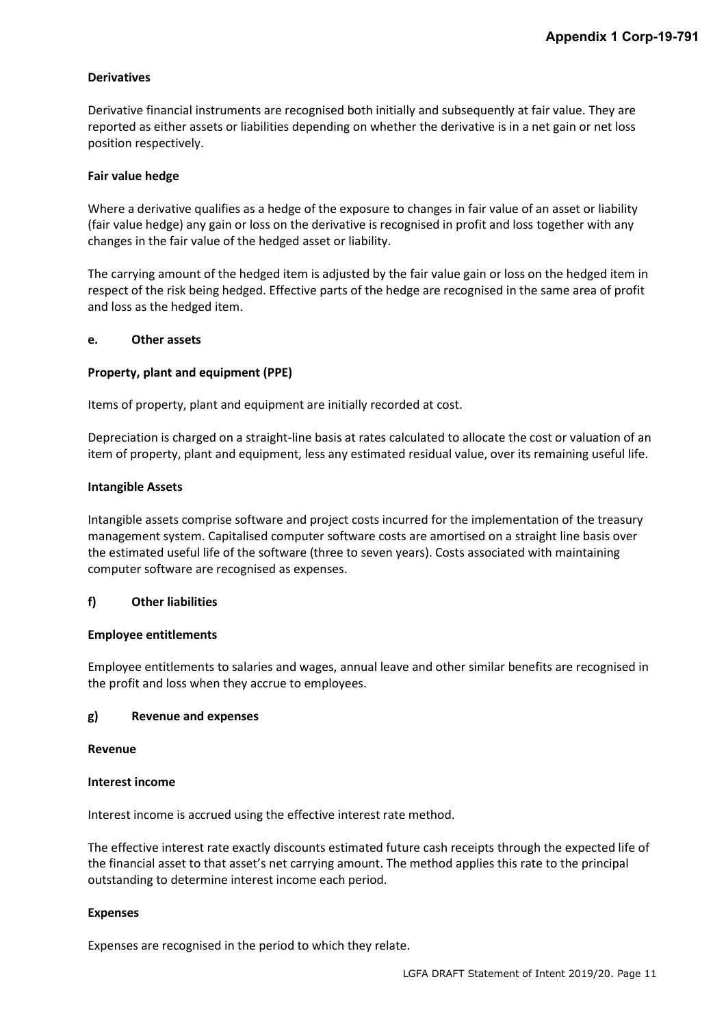## **Derivatives**

Derivative financial instruments are recognised both initially and subsequently at fair value. They are reported as either assets or liabilities depending on whether the derivative is in a net gain or net loss position respectively.

#### **Fair value hedge**

Where a derivative qualifies as a hedge of the exposure to changes in fair value of an asset or liability (fair value hedge) any gain or loss on the derivative is recognised in profit and loss together with any changes in the fair value of the hedged asset or liability.

The carrying amount of the hedged item is adjusted by the fair value gain or loss on the hedged item in respect of the risk being hedged. Effective parts of the hedge are recognised in the same area of profit and loss as the hedged item.

#### **e. Other assets**

## **Property, plant and equipment (PPE)**

Items of property, plant and equipment are initially recorded at cost.

Depreciation is charged on a straight-line basis at rates calculated to allocate the cost or valuation of an item of property, plant and equipment, less any estimated residual value, over its remaining useful life.

#### **Intangible Assets**

Intangible assets comprise software and project costs incurred for the implementation of the treasury management system. Capitalised computer software costs are amortised on a straight line basis over the estimated useful life of the software (three to seven years). Costs associated with maintaining computer software are recognised as expenses.

## **f) Other liabilities**

#### **Employee entitlements**

Employee entitlements to salaries and wages, annual leave and other similar benefits are recognised in the profit and loss when they accrue to employees.

#### **g) Revenue and expenses**

#### **Revenue**

#### **Interest income**

Interest income is accrued using the effective interest rate method.

The effective interest rate exactly discounts estimated future cash receipts through the expected life of the financial asset to that asset's net carrying amount. The method applies this rate to the principal outstanding to determine interest income each period.

#### **Expenses**

Expenses are recognised in the period to which they relate.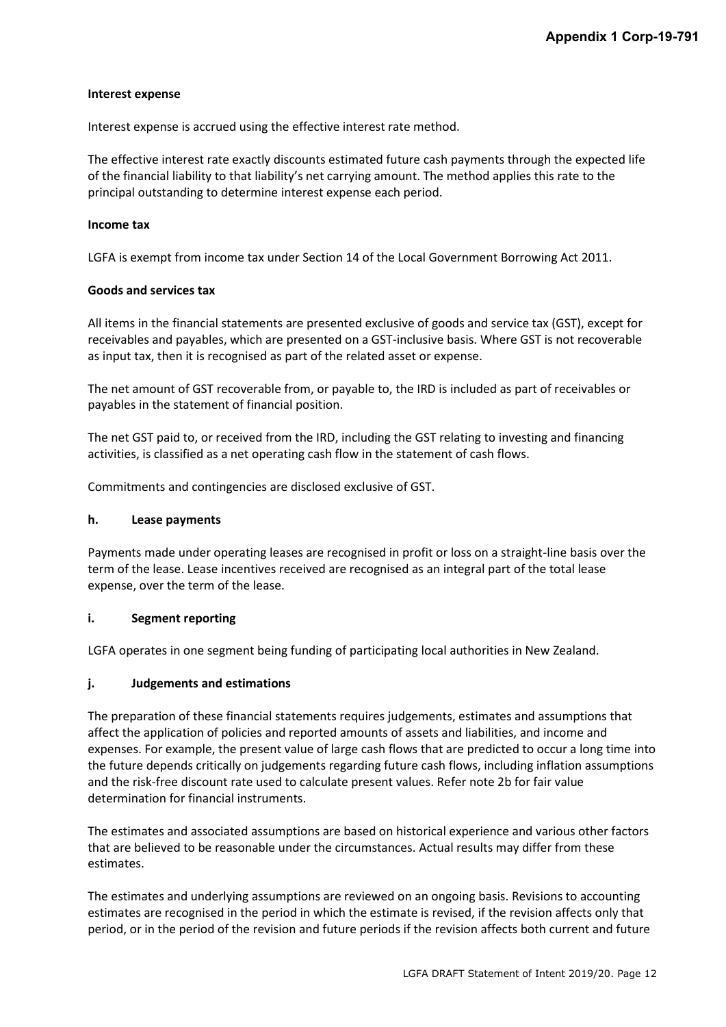#### **Interest expense**

Interest expense is accrued using the effective interest rate method.

The effective interest rate exactly discounts estimated future cash payments through the expected life of the financial liability to that liability's net carrying amount. The method applies this rate to the principal outstanding to determine interest expense each period.

#### **Income tax**

LGFA is exempt from income tax under Section 14 of the Local Government Borrowing Act 2011.

## **Goods and services tax**

All items in the financial statements are presented exclusive of goods and service tax (GST), except for receivables and payables, which are presented on a GST-inclusive basis. Where GST is not recoverable as input tax, then it is recognised as part of the related asset or expense.

The net amount of GST recoverable from, or payable to, the IRD is included as part of receivables or payables in the statement of financial position.

The net GST paid to, or received from the IRD, including the GST relating to investing and financing activities, is classified as a net operating cash flow in the statement of cash flows.

Commitments and contingencies are disclosed exclusive of GST.

#### **h. Lease payments**

Payments made under operating leases are recognised in profit or loss on a straight-line basis over the term of the lease. Lease incentives received are recognised as an integral part of the total lease expense, over the term of the lease.

## **i. Segment reporting**

LGFA operates in one segment being funding of participating local authorities in New Zealand.

## **j. Judgements and estimations**

The preparation of these financial statements requires judgements, estimates and assumptions that affect the application of policies and reported amounts of assets and liabilities, and income and expenses. For example, the present value of large cash flows that are predicted to occur a long time into the future depends critically on judgements regarding future cash flows, including inflation assumptions and the risk-free discount rate used to calculate present values. Refer note 2b for fair value determination for financial instruments.

The estimates and associated assumptions are based on historical experience and various other factors that are believed to be reasonable under the circumstances. Actual results may differ from these estimates.

The estimates and underlying assumptions are reviewed on an ongoing basis. Revisions to accounting estimates are recognised in the period in which the estimate is revised, if the revision affects only that period, or in the period of the revision and future periods if the revision affects both current and future